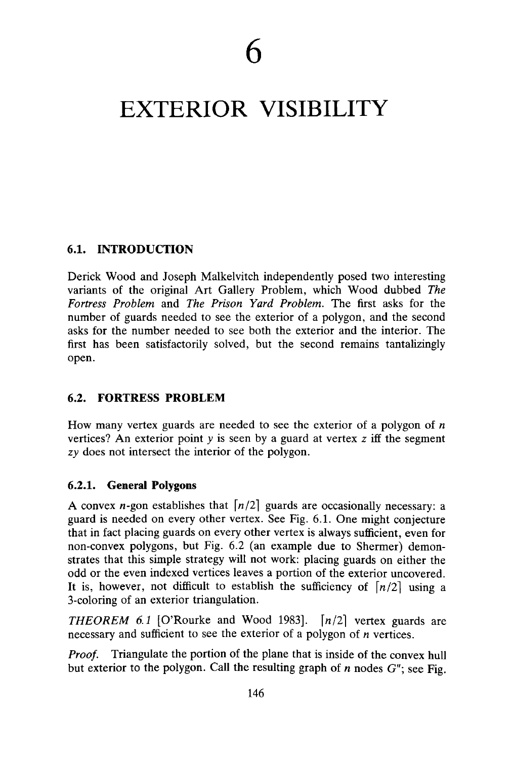# EXTERIOR VISIBILITY

# **6.1. INTRODUCTION**

Derick Wood and Joseph Malkelvitch independently posed two interesting variants of the original Art Gallery Problem, which Wood dubbed *The Fortress Problem* and *The Prison Yard Problem.* The first asks for the number of guards needed to see the exterior of a polygon, and the second asks for the number needed to see both the exterior and the interior. The first has been satisfactorily solved, but the second remains tantalizingly open.

# **6.2. FORTRESS PROBLEM**

How many vertex guards are needed to see the exterior of a polygon of *n* vertices? An exterior point  $y$  is seen by a guard at vertex  $z$  iff the segment *zy* does not intersect the interior of the polygon.

## **6.2.1. General Polygons**

A convex *n*-gon establishes that  $\lfloor n/2 \rfloor$  guards are occasionally necessary: a guard is needed on every other vertex. See Fig. 6.1. One might conjecture that in fact placing guards on every other vertex is always sufficient, even for non-convex polygons, but Fig. 6.2 (an example due to Shermer) demonstrates that this simple strategy will not work: placing guards on either the odd or the even indexed vertices leaves a portion of the exterior uncovered. It is, however, not difficult to establish the sufficiency of  $\lfloor n/2 \rfloor$  using a 3-coloring of an exterior triangulation.

*THEOREM 6.1* [O'Rourke and Wood 1983].  $\lfloor n/2 \rfloor$  vertex guards are necessary and sufficient to see the exterior of a polygon of *n* vertices.

*Proof.* Triangulate the portion of the plane that is inside of the convex hull but exterior to the polygon. Call the resulting graph of *n* nodes G"; see Fig.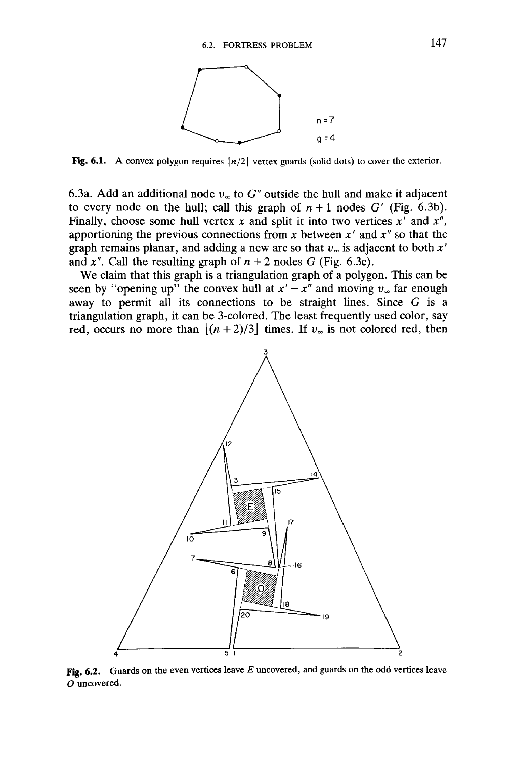

**Fig. 6.1.** A convex polygon requires  $\lfloor n/2 \rfloor$  vertex guards (solid dots) to cover the exterior.

6.3a. Add an additional node  $v_{\infty}$  to  $G''$  outside the hull and make it adjacent to every node on the hull; call this graph of  $n+1$  nodes  $G'$  (Fig. 6.3b). Finally, choose some hull vertex *x* and split it into two vertices *x'* and *x",* apportioning the previous connections from *x* between *x'* and *x"* so that the graph remains planar, and adding a new arc so that  $v_\infty$  is adjacent to both  $x'$ and  $x''$ . Call the resulting graph of  $n + 2$  nodes *G* (Fig. 6.3c).

We claim that this graph is a triangulation graph of a polygon. This can be seen by "opening up" the convex hull at  $x' - x''$  and moving  $v_\infty$  far enough away to permit all its connections to be straight lines. Since *G* is a triangulation graph, it can be 3-colored. The least frequently used color, say red, occurs no more than  $|(n+2)/3|$  times. If  $v_{\infty}$  is not colored red, then



Fig. 6.2. Guards on the even vertices leave *E* uncovered, and guards on the odd vertices leave *O* uncovered.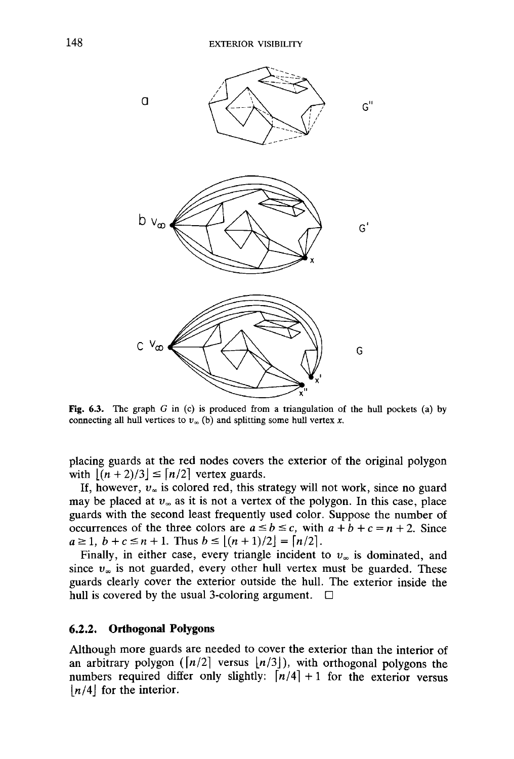

Fig. 6.3. The graph *G* in (c) is produced from a triangulation of the hull pockets (a) by connecting all hull vertices to  $v<sub>\infty</sub>$  (b) and splitting some hull vertex x.

placing guards at the red nodes covers the exterior of the original polygon with  $|(n + 2)/3| \leq \lfloor n/2 \rfloor$  vertex guards.

If, however,  $v_{\infty}$  is colored red, this strategy will not work, since no guard may be placed at  $v_{\infty}$  as it is not a vertex of the polygon. In this case, place guards with the second least frequently used color. Suppose the number of occurrences of the three colors are  $a \le b \le c$ , with  $a + b + c = n + 2$ . Since  $a \ge 1, b+c \le n+1$ . Thus  $b \le |(n+1)/2| = \lfloor n/2 \rfloor$ .

Finally, in either case, every triangle incident to  $v_{\infty}$  is dominated, and since  $v_{\infty}$  is not guarded, every other hull vertex must be guarded. These guards clearly cover the exterior outside the hull. The exterior inside the hull is covered by the usual 3-coloring argument.  $\Box$ 

#### **6.2.2. Orthogonal Polygons**

Although more guards are needed to cover the exterior than the interior of an arbitrary polygon  $(\lfloor n/2 \rfloor \text{ versus } \lfloor n/3 \rfloor)$ , with orthogonal polygons the numbers required differ only slightly:  $\lfloor n/4 \rfloor + 1$  for the exterior versus *[n/A\* for the interior.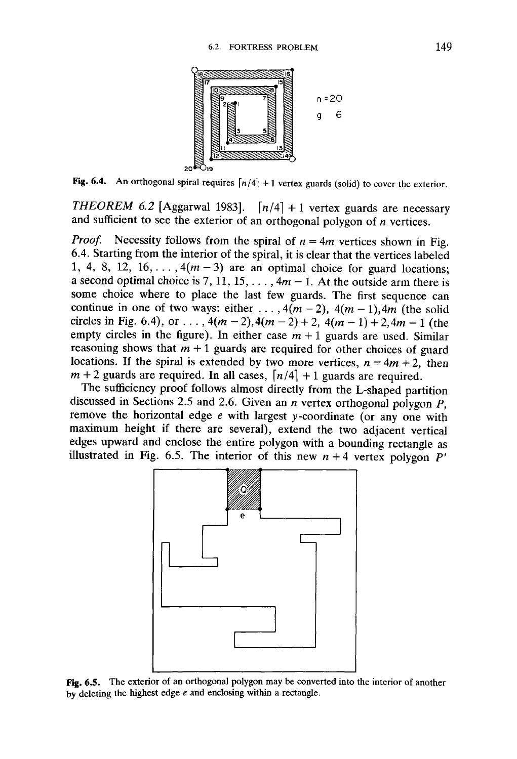

Fig. 6.4. An orthogonal spiral requires  $\lfloor n/4 \rfloor + 1$  vertex guards (solid) to cover the exterior.

*THEOREM 6.2* [Aggarwal 1983].  $\lfloor n/4 \rfloor + 1$  vertex guards are necessary and sufficient to see the exterior of an orthogonal polygon of *n* vertices.

*Proof.* Necessity follows from the spiral of  $n = 4m$  vertices shown in Fig. 6.4. Starting from the interior of the spiral, it is clear that the vertices labeled 1, 4, 8, 12, 16,...,  $4(m-3)$  are an optimal choice for guard locations; a second optimal choice is 7, 11, 15, ...,  $4m - 1$ . At the outside arm there is some choice where to place the last few guards. The first sequence can continue in one of two ways: either ...,  $4(m-2)$ ,  $4(m-1)$ ,  $4m$  (the solid circles in Fig. 6.4), or ...,  $4(m-2)$ ,  $4(m-2) + 2$ ,  $4(m-1) + 2$ ,  $4m - 1$  (the empty circles in the figure). In either case  $m + 1$  guards are used. Similar reasoning shows that  $m + 1$  guards are required for other choices of guard locations. If the spiral is extended by two more vertices,  $n = 4m + 2$ , then  $m + 2$  guards are required. In all cases,  $\lfloor n/4 \rfloor + 1$  guards are required.

The sufficiency proof follows almost directly from the L-shaped partition discussed in Sections 2.5 and 2.6. Given an *n* vertex orthogonal polygon *P,* remove the horizontal edge *e* with largest v-coordinate (or any one with maximum height if there are several), extend the two adjacent vertical edges upward and enclose the entire polygon with a bounding rectangle as illustrated in Fig. 6.5. The interior of this new  $n + 4$  vertex polygon  $P'$ 



Fig. 6.5. The exterior of an orthogonal polygon may be converted into the interior of another by deleting the highest edge *e* and enclosing within a rectangle.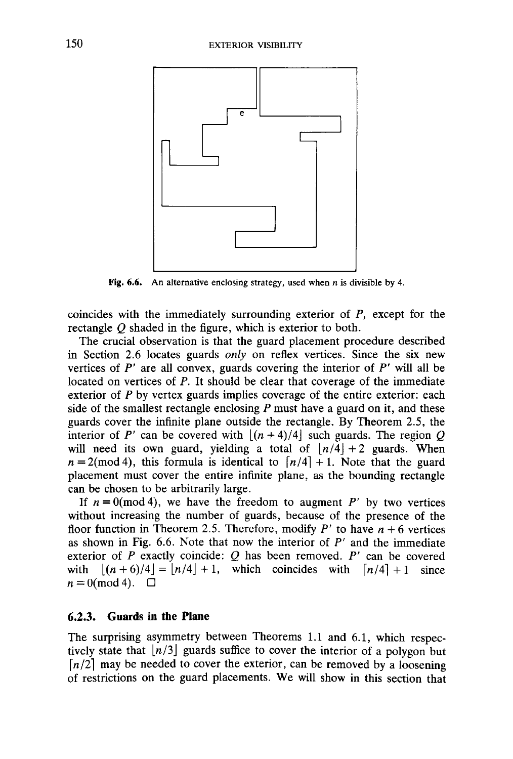

Fig. 6.6. An alternative enclosing strategy, used when *n* is divisible by 4.

coincides with the immediately surrounding exterior of *P,* except for the rectangle *Q* shaded in the figure, which is exterior to both.

The crucial observation is that the guard placement procedure described in Section 2.6 locates guards *only* on reflex vertices. Since the six new vertices of *P'* are all convex, guards covering the interior of *P'* will all be located on vertices of *P.* It should be clear that coverage of the immediate exterior of  $P$  by vertex guards implies coverage of the entire exterior: each side of the smallest rectangle enclosing *P* must have a guard on it, and these guards cover the infinite plane outside the rectangle. By Theorem 2.5, the interior of *P'* can be covered with  $[(n+4)/4]$  such guards. The region *Q* will need its own guard, yielding a total of  $|n/4|+2$  guards. When  $n \equiv 2 \pmod{4}$ , this formula is identical to  $\lfloor n/4 \rfloor + 1$ . Note that the guard placement must cover the entire infinite plane, as the bounding rectangle can be chosen to be arbitrarily large.

If  $n \equiv 0 \pmod{4}$ , we have the freedom to augment P' by two vertices without increasing the number of guards, because of the presence of the floor function in Theorem 2.5. Therefore, modify  $P'$  to have  $n + 6$  vertices as shown in Fig.  $6.6$ . Note that now the interior of  $P'$  and the immediate exterior of *P* exactly coincide: *Q* has been removed. *P'* can be covered with  $|(n+6)/4| = |n/4| + 1$ , which coincides with  $\lfloor n/4 \rfloor + 1$  since  $n \equiv 0 \pmod{4}$ .  $\Box$ 

## **6.2.3. Guards in the Plane**

The surprising asymmetry between Theorems 1.1 and 6.1, which respectively state that *[n/3\* guards suffice to cover the interior of a polygon but  $\lfloor n/2 \rfloor$  may be needed to cover the exterior, can be removed by a loosening of restrictions on the guard placements. We will show in this section that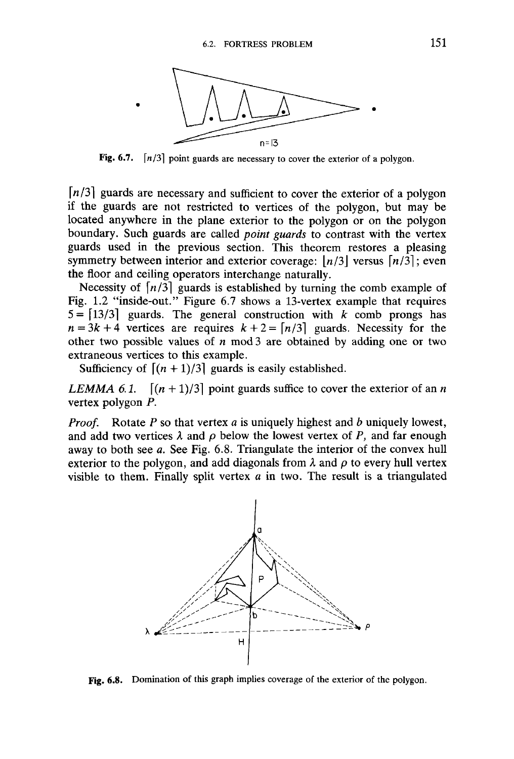

Fig. 6.7.  $\lceil n/3 \rceil$  point guards are necessary to cover the exterior of a polygon.

*\n/3]* guards are necessary and sufficient to cover the exterior of a polygon if the guards are not restricted to vertices of the polygon, but may be located anywhere in the plane exterior to the polygon or on the polygon boundary. Such guards are called *point guards* to contrast with the vertex guards used in the previous section. This theorem restores a pleasing symmetry between interior and exterior coverage:  $\lfloor n/3 \rfloor$  versus  $\lfloor n/3 \rfloor$ ; even the floor and ceiling operators interchange naturally.

Necessity of  $\lfloor n/3 \rfloor$  guards is established by turning the comb example of Fig. 1.2 "inside-out." Figure 6.7 shows a 13-vertex example that requires  $5 = \lfloor 13/3 \rfloor$  guards. The general construction with *k* comb prongs has  $n = 3k + 4$  vertices are requires  $k + 2 = \lfloor n/3 \rfloor$  guards. Necessity for the other two possible values of *n* mod 3 are obtained by adding one or two extraneous vertices to this example.

Sufficiency of  $\left[ (n + 1)/3 \right]$  guards is easily established.

*LEMMA 6.1.*  $\left[ (n + 1)/3 \right]$  point guards suffice to cover the exterior of an n vertex polygon *P.*

*Proof.* Rotate *P* so that vertex *a* is uniquely highest and *b* uniquely lowest, and add two vertices  $\lambda$  and  $\rho$  below the lowest vertex of P, and far enough away to both see *a.* See Fig. 6.8. Triangulate the interior of the convex hull exterior to the polygon, and add diagonals from  $\lambda$  and  $\rho$  to every hull vertex visible to them. Finally split vertex *a* in two. The result is a triangulated



Fig. 6.8. Domination of this graph implies coverage of the exterior of the polygon.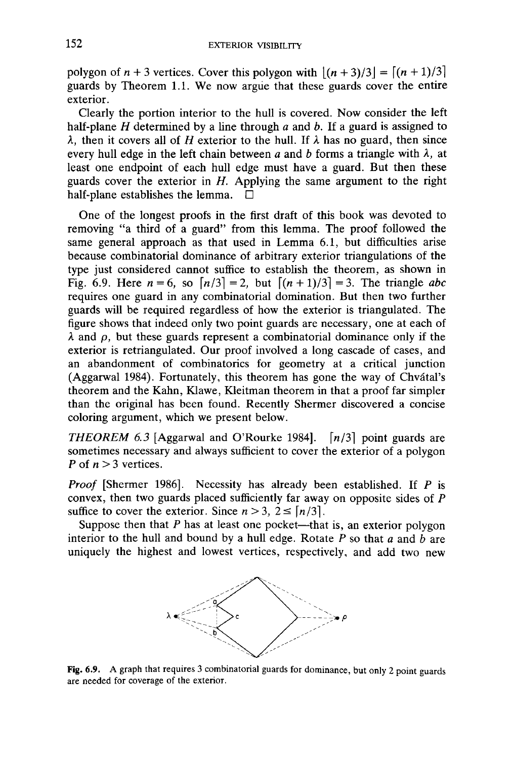polygon of  $n + 3$  vertices. Cover this polygon with  $\lfloor (n + 3)/3 \rfloor = \lfloor (n + 1)/3 \rfloor$ guards by Theorem 1.1. We now argue that these guards cover the entire exterior.

Clearly the portion interior to the hull is covered. Now consider the left half-plane *H* determined by a line through *a* and *b.* If a guard is assigned to  $\lambda$ , then it covers all of *H* exterior to the hull. If  $\lambda$  has no guard, then since every hull edge in the left chain between  $a$  and  $b$  forms a triangle with  $\lambda$ , at least one endpoint of each hull edge must have a guard. But then these guards cover the exterior in *H.* Applying the same argument to the right half-plane establishes the lemma.  $\Box$ 

One of the longest proofs in the first draft of this book was devoted to removing "a third of a guard" from this lemma. The proof followed the same general approach as that used in Lemma 6.1, but difficulties arise because combinatorial dominance of arbitrary exterior triangulations of the type just considered cannot suffice to establish the theorem, as shown in Fig. 6.9. Here  $n = 6$ , so  $\lceil n/3 \rceil = 2$ , but  $\lceil (n + 1)/3 \rceil = 3$ . The triangle *abc* requires one guard in any combinatorial domination. But then two further guards will be required regardless of how the exterior is triangulated. The figure shows that indeed only two point guards are necessary, one at each of  $\lambda$  and  $\rho$ , but these guards represent a combinatorial dominance only if the exterior is retriangulated. Our proof involved a long cascade of cases, and an abandonment of combinatorics for geometry at a critical junction (Aggarwal 1984). Fortunately, this theorem has gone the way of Chvátal's theorem and the Kahn, Klawe, Kleitman theorem in that a proof far simpler than the original has been found. Recently Shermer discovered a concise coloring argument, which we present below.

*THEOREM 6.3* [Aggarwal and O'Rourke 1984].  $\lceil n/3 \rceil$  point guards are sometimes necessary and always sufficient to cover the exterior of a polygon *P* of *n* >3 vertices.

*Proof* [Shermer 1986]. Necessity has already been established. If *P* is convex, then two guards placed sufficiently far away on opposite sides of *P* suffice to cover the exterior. Since  $n > 3$ ,  $2 \leq \lfloor n/3 \rfloor$ .

Suppose then that *P* has at least one pocket—that is, an exterior polygon interior to the hull and bound by a hull edge. Rotate P so that *a* and *b* are uniquely the highest and lowest vertices, respectively, and add two new



Fig. 6.9. A graph that requires 3 combinatorial guards for dominance, but only 2 point guards are needed for coverage of the exterior.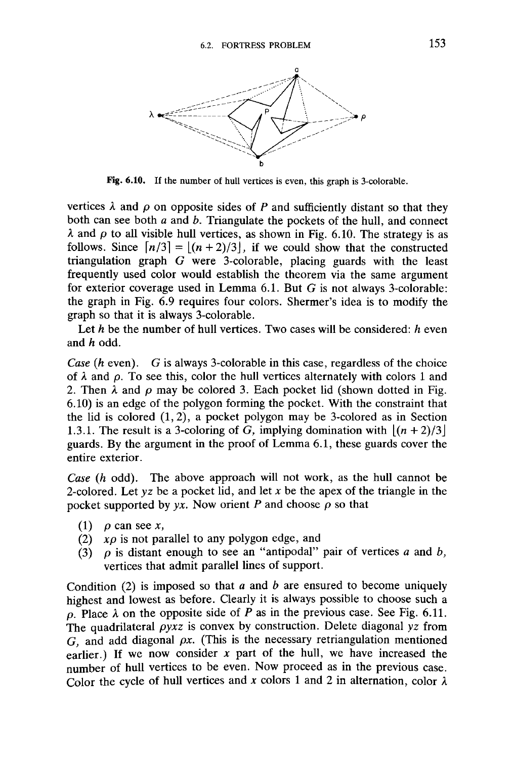

**Fig. 6.10.** If the number of hull vertices is even, this graph is 3-colorable.

vertices  $\lambda$  and  $\rho$  on opposite sides of P and sufficiently distant so that they both can see both *a* and *b.* Triangulate the pockets of the hull, and connect  $\lambda$  and  $\rho$  to all visible hull vertices, as shown in Fig. 6.10. The strategy is as follows. Since  $\lfloor n/3 \rfloor = \lfloor (n+2)/3 \rfloor$ , if we could show that the constructed triangulation graph *G* were 3-colorable, placing guards with the least frequently used color would establish the theorem via the same argument for exterior coverage used in Lemma 6.1. But *G* is not always 3-colorable: the graph in Fig. 6.9 requires four colors. Shermer's idea is to modify the graph so that it is always 3-colorable.

Let *h* be the number of hull vertices. Two cases will be considered: *h* even and *h* odd.

*Case (h* even). *G* is always 3-colorable in this case, regardless of the choice of  $\lambda$  and  $\rho$ . To see this, color the hull vertices alternately with colors 1 and 2. Then  $\lambda$  and  $\rho$  may be colored 3. Each pocket lid (shown dotted in Fig. 6.10) is an edge of the polygon forming the pocket. With the constraint that the lid is colored (1,2), a pocket polygon may be 3-colored as in Section 1.3.1. The result is a 3-coloring of G, implying domination with  $|(n+2)/3|$ guards. By the argument in the proof of Lemma 6.1, these guards cover the entire exterior.

*Case (h* odd). The above approach will not work, as the hull cannot be 2-colored. Let *yz* be a pocket lid, and let *x* be the apex of the triangle in the pocket supported by  $yx$ . Now orient P and choose  $\rho$  so that

- (1)  $\rho$  can see x,
- (2)  $x\rho$  is not parallel to any polygon edge, and
- (3)  $\rho$  is distant enough to see an "antipodal" pair of vertices  $a$  and  $b$ , vertices that admit parallel lines of support.

Condition (2) is imposed so that *a* and *b* are ensured to become uniquely highest and lowest as before. Clearly it is always possible to choose such a  $\rho$ . Place  $\lambda$  on the opposite side of *P* as in the previous case. See Fig. 6.11. The quadrilateral *pyxz* is convex by construction. Delete diagonal *yz* from *G,* and add diagonal *px.* (This is the necessary retriangulation mentioned earlier.) If we now consider *x* part of the hull, we have increased the number of hull vertices to be even. Now proceed as in the previous case. Color the cycle of hull vertices and x colors 1 and 2 in alternation, color  $\lambda$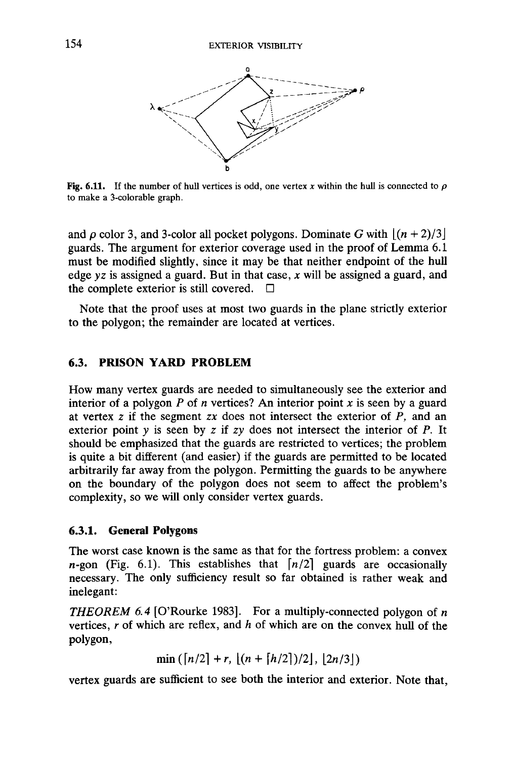

**Fig.** 6.11. If the number of hull vertices is odd, one vertex x within the hull is connected to  $\rho$ to make a 3-colorable graph.

and  $\rho$  color 3, and 3-color all pocket polygons. Dominate G with  $[(n+2)/3]$ guards. The argument for exterior coverage used in the proof of Lemma 6.1 must be modified slightly, since it may be that neither endpoint of the hull edge *yz* is assigned a guard. But in that case, *x* will be assigned a guard, and the complete exterior is still covered.  $\Box$ 

Note that the proof uses at most two guards in the plane strictly exterior to the polygon; the remainder are located at vertices.

## **6.3. PRISON YARD PROBLEM**

How many vertex guards are needed to simultaneously see the exterior and interior of a polygon *P* of *n* vertices? An interior point *x* is seen by a guard at vertex z if the segment *zx* does not intersect the exterior of *P,* and an exterior point *y* is seen by z if zv does not intersect the interior of *P.* It should be emphasized that the guards are restricted to vertices; the problem is quite a bit different (and easier) if the guards are permitted to be located arbitrarily far away from the polygon. Permitting the guards to be anywhere on the boundary of the polygon does not seem to affect the problem's complexity, so we will only consider vertex guards.

## **6.3.1. General Polygons**

The worst case known is the same as that for the fortress problem: a convex *n*-gon (Fig. 6.1). This establishes that  $\lfloor n/2 \rfloor$  guards are occasionally necessary. The only sufficiency result so far obtained is rather weak and inelegant:

*THEOREM 6.4* [O'Rourke 1983]. For a multiply-connected polygon of *n* vertices, *r* of which are reflex, and *h* of which are on the convex hull of the polygon,

 $\min(\lfloor n/2 \rfloor + r, \lfloor (n + \lfloor h/2 \rfloor)/2 \rfloor, \lfloor 2n/3 \rfloor)$ 

vertex guards are sufficient to see both the interior and exterior. Note that,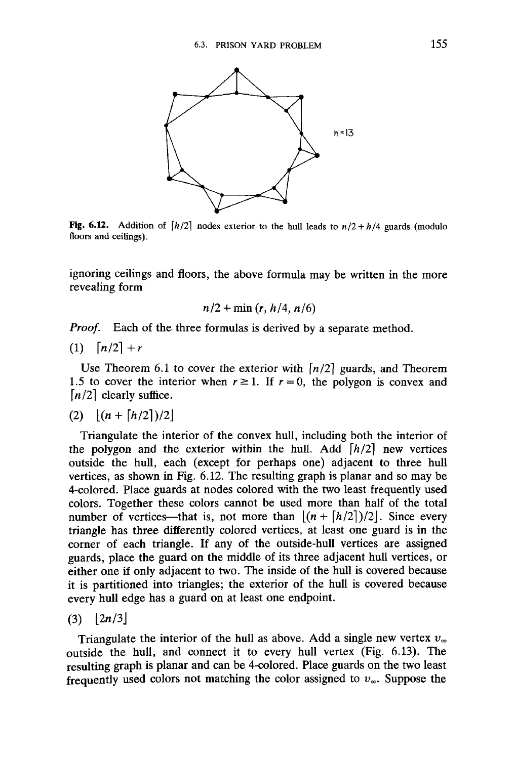

**Fig. 6.12.** Addition of  $\frac{h}{2}$  nodes exterior to the hull leads to  $n/2 + h/4$  guards (modulo floors and ceilings).

ignoring ceilings and floors, the above formula may be written in the more revealing form

$$
n/2 + \min(r, h/4, n/6)
$$

*Proof.* Each of the three formulas is derived by a separate method.

$$
(1) \quad \lceil n/2 \rceil + r
$$

Use Theorem 6.1 to cover the exterior with  $\lfloor n/2 \rfloor$  guards, and Theorem 1.5 to cover the interior when  $r \ge 1$ . If  $r = 0$ , the polygon is convex and  $[n/2]$  clearly suffice.

$$
(2) \quad \left\lfloor (n + \lceil h/2 \rceil)/2 \right\rfloor
$$

Triangulate the interior of the convex hull, including both the interior of the polygon and the exterior within the hull. Add  $\left\lceil h/2 \right\rceil$  new vertices outside the hull, each (except for perhaps one) adjacent to three hull vertices, as shown in Fig. 6.12. The resulting graph is planar and so may be 4-colored. Place guards at nodes colored with the two least frequently used colors. Together these colors cannot be used more than half of the total number of vertices—that is, not more than  $\lfloor (n + \lfloor h/2 \rfloor)/2 \rfloor$ . Since every triangle has three differently colored vertices, at least one guard is in the corner of each triangle. If any of the outside-hull vertices are assigned guards, place the guard on the middle of its three adjacent hull vertices, or either one if only adjacent to two. The inside of the hull is covered because it is partitioned into triangles; the exterior of the hull is covered because every hull edge has a guard on at least one endpoint.

$$
(3) [2n/3]
$$

Triangulate the interior of the hull as above. Add a single new vertex  $v_{\infty}$ outside the hull, and connect it to every hull vertex (Fig. 6.13). The resulting graph is planar and can be 4-colored. Place guards on the two least frequently used colors not matching the color assigned to  $v_\infty$ . Suppose the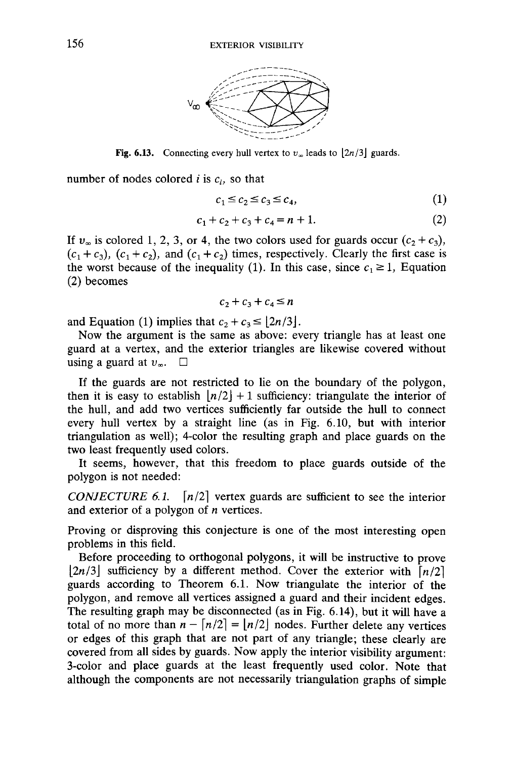

**Fig. 6.13.** Connecting every hull vertex to  $v_\infty$  leads to  $\lfloor 2n/3 \rfloor$  guards.

number of nodes colored *i* is  $c_i$ , so that

$$
c_1 \le c_2 \le c_3 \le c_4,\tag{1}
$$

$$
c_1 + c_2 + c_3 + c_4 = n + 1. \tag{2}
$$

If  $v_{\infty}$  is colored 1, 2, 3, or 4, the two colors used for guards occur  $(c_2 + c_3)$ ,  $(c_1 + c_3)$ ,  $(c_1 + c_2)$ , and  $(c_1 + c_2)$  times, respectively. Clearly the first case is the worst because of the inequality (1). In this case, since  $c_1 \geq 1$ , Equation (2) becomes

$$
c_2 + c_3 + c_4 \le n
$$

and Equation (1) implies that  $c_2 + c_3 \leq \lfloor 2n/3 \rfloor$ .

Now the argument is the same as above: every triangle has at least one guard at a vertex, and the exterior triangles are likewise covered without using a guard at  $v_{\infty}$ .  $\Box$ 

If the guards are not restricted to lie on the boundary of the polygon, then it is easy to establish  $\lfloor n/2 \rfloor + 1$  sufficiency: triangulate the interior of the hull, and add two vertices sufficiently far outside the hull to connect every hull vertex by a straight line (as in Fig. 6.10, but with interior triangulation as well); 4-color the resulting graph and place guards on the two least frequently used colors.

It seems, however, that this freedom to place guards outside of the polygon is not needed:

*CONJECTURE 6.1.*  $\lfloor n/2 \rfloor$  vertex guards are sufficient to see the interior and exterior of a polygon of *n* vertices.

Proving or disproving this conjecture is one of the most interesting open problems in this field.

Before proceeding to orthogonal polygons, it will be instructive to prove  $|2n/3|$  sufficiency by a different method. Cover the exterior with  $\lfloor n/2 \rfloor$ guards according to Theorem 6.1. Now triangulate the interior of the polygon, and remove all vertices assigned a guard and their incident edges. The resulting graph may be disconnected (as in Fig. 6.14), but it will have a total of no more than  $n - \lfloor n/2 \rfloor = \lfloor n/2 \rfloor$  nodes. Further delete any vertices or edges of this graph that are not part of any triangle; these clearly are covered from all sides by guards. Now apply the interior visibility argument: 3-color and place guards at the least frequently used color. Note that although the components are not necessarily triangulation graphs of simple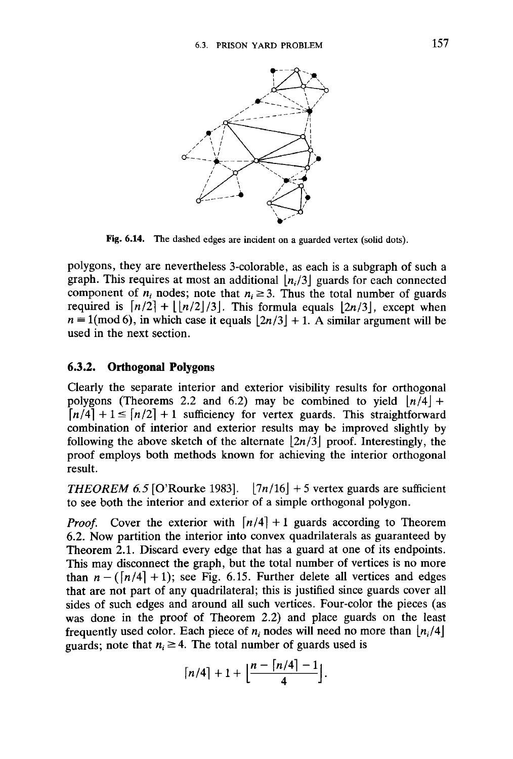

**Fig. 6.14.** The dashed edges are incident on a guarded vertex (solid dots).

polygons, they are nevertheless 3-colorable, as each is a subgraph of such a graph. This requires at most an additional *[n( /3\* guards for each connected component of  $n_i$  nodes; note that  $n_i \geq 3$ . Thus the total number of guards required is  $\lfloor n/2\rfloor + \lfloor n/2\rfloor/3\rfloor$ . This formula equals  $\lfloor 2n/3\rfloor$ , except when  $n \equiv 1 \pmod{6}$ , in which case it equals  $\lfloor 2n/3 \rfloor + 1$ . A similar argument will be used in the next section.

### **6.3.2. Orthogonal Polygons**

Clearly the separate interior and exterior visibility results for orthogonal polygons (Theorems 2.2 and 6.2) may be combined to yield  $|n/4|$  +  $\lceil n/4 \rceil + 1 \leq \lceil n/2 \rceil + 1$  sufficiency for vertex guards. This straightforward combination of interior and exterior results may be improved slightly by following the above sketch of the alternate  $|2n/3|$  proof. Interestingly, the proof employs both methods known for achieving the interior orthogonal result.

*THEOREM 6.5* [O'Rourke 1983].  $|7n/16|$  + 5 vertex guards are sufficient to see both the interior and exterior of a simple orthogonal polygon.

*Proof.* Cover the exterior with  $\lfloor n/4 \rfloor + 1$  guards according to Theorem 6.2. Now partition the interior into convex quadrilaterals as guaranteed by Theorem 2.1. Discard every edge that has a guard at one of its endpoints. This may disconnect the graph, but the total number of vertices is no more than  $n - (\lfloor n/4 \rfloor + 1)$ ; see Fig. 6.15. Further delete all vertices and edges that are not part of any quadrilateral; this is justified since guards cover all sides of such edges and around all such vertices. Four-color the pieces (as was done in the proof of Theorem 2.2) and place guards on the least frequently used color. Each piece of  $n_i$  nodes will need no more than  $\lfloor n_i/4 \rfloor$ guards; note that  $n_i \geq 4$ . The total number of guards used is

$$
\lfloor n/4 \rfloor + 1 + \lfloor \frac{n - \lfloor n/4 \rfloor - 1}{4} \rfloor.
$$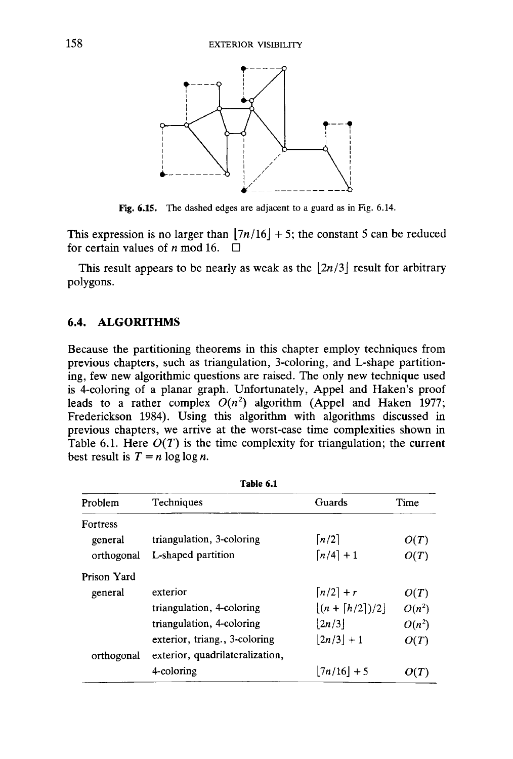

Fig. 6.15. The dashed edges are adjacent to a guard as in Fig. 6.14.

This expression is no larger than  $\lfloor 7n/16 \rfloor + 5$ ; the constant 5 can be reduced for certain values of *n* mod 16.  $\Box$ 

This result appears to be nearly as weak as the  $|2n/3|$  result for arbitrary polygons.

#### **6.4. ALGORITHMS**

Because the partitioning theorems in this chapter employ techniques from previous chapters, such as triangulation, 3-coloring, and L-shape partitioning, few new algorithmic questions are raised. The only new technique used is 4-coloring of a planar graph. Unfortunately, Appel and Haken's proof leads to a rather complex  $O(n^2)$  algorithm (Appel and Haken 1977; Frederickson 1984). Using this algorithm with algorithms discussed in previous chapters, we arrive at the worst-case time complexities shown in Table 6.1. Here  $O(T)$  is the time complexity for triangulation; the current best result is  $T = n \log \log n$ .

| Table 6.1       |                                 |                               |          |
|-----------------|---------------------------------|-------------------------------|----------|
| Problem         | Techniques                      | Guards                        | Time     |
| <b>Fortress</b> |                                 |                               |          |
| general         | triangulation, 3-coloring       | $\lceil n/2 \rceil$           | O(T)     |
| orthogonal      | L-shaped partition              | $\lceil n/4 \rceil + 1$       | O(T)     |
| Prison Yard     |                                 |                               |          |
| general         | exterior                        | $\lceil n/2 \rceil + r$       | O(T)     |
|                 | triangulation, 4-coloring       | $ (n + \lceil h/2 \rceil)/2]$ | $O(n^2)$ |
|                 | triangulation, 4-coloring       | $\left  \frac{2n}{3} \right $ | $O(n^2)$ |
|                 | exterior, triang., 3-coloring   | $ 2n/3  + 1$                  | O(T)     |
| orthogonal      | exterior, quadrilateralization, |                               |          |
|                 | 4-coloring                      | $ 7n/16 $ + 5                 |          |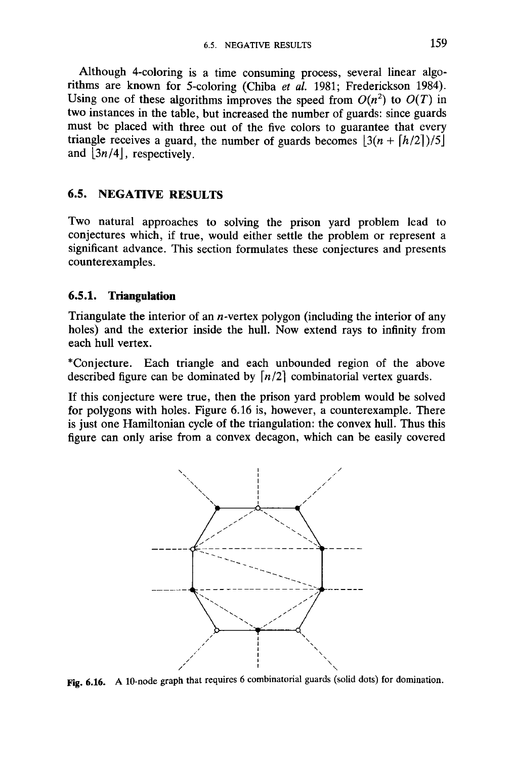Although 4-coloring is a time consuming process, several linear algorithms are known for 5-coloring (Chiba et al. 1981; Frederickson 1984). Using one of these algorithms improves the speed from  $O(n^2)$  to  $O(T)$  in two instances in the table, but increased the number of guards: since guards must be placed with three out of the five colors to guarantee that every triangle receives a guard, the number of guards becomes  $|3(n + \lfloor h/2 \rfloor)/5|$ and  $|3n/4|$ , respectively.

# **6.5. NEGATIVE RESULTS**

Two natural approaches to solving the prison yard problem lead to conjectures which, if true, would either settle the problem or represent a significant advance. This section formulates these conjectures and presents counterexamples.

## **6.5.1. Triangulation**

Triangulate the interior of an *n* -vertex polygon (including the interior of any holes) and the exterior inside the hull. Now extend rays to infinity from each hull vertex.

\* Conjecture. Each triangle and each unbounded region of the above described figure can be dominated by  $\lfloor n/2 \rfloor$  combinatorial vertex guards.

If this conjecture were true, then the prison yard problem would be solved for polygons with holes. Figure 6.16 is, however, a counterexample. There is just one Hamiltonian cycle of the triangulation: the convex hull. Thus this figure can only arise from a convex decagon, which can be easily covered



Fig. 6.16. A 10-node graph that requires 6 combinatorial guards (solid dots) for domination.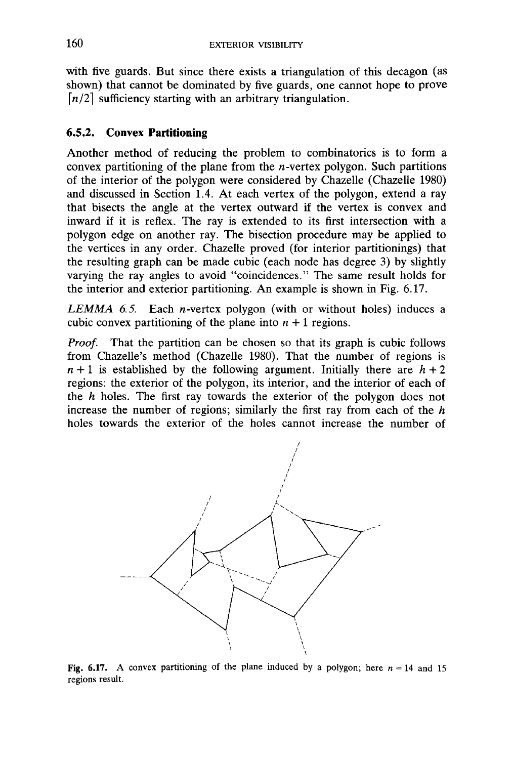with five guards. But since there exists a triangulation of this decagon (as shown) that cannot be dominated by five guards, one cannot hope to prove  $\lfloor n/2 \rfloor$  sufficiency starting with an arbitrary triangulation.

## **6.5.2. Convex Partitioning**

Another method of reducing the problem to combinatorics is to form a convex partitioning of the plane from the *n*-vertex polygon. Such partitions of the interior of the polygon were considered by Chazelle (Chazelle 1980) and discussed in Section 1.4. At each vertex of the polygon, extend a ray that bisects the angle at the vertex outward if the vertex is convex and inward if it is reflex. The ray is extended to its first intersection with a polygon edge on another ray. The bisection procedure may be applied to the vertices in any order. Chazelle proved (for interior partitionings) that the resulting graph can be made cubic (each node has degree 3) by slightly varying the ray angles to avoid "coincidences." The same result holds for the interior and exterior partitioning. An example is shown in Fig. 6.17.

*LEMMA 6.5.* Each *n* -vertex polygon (with or without holes) induces a cubic convex partitioning of the plane into  $n + 1$  regions.

*Proof.* That the partition can be chosen so that its graph is cubic follows from Chazelle's method (Chazelle 1980). That the number of regions is  $n+1$  is established by the following argument. Initially there are  $h+2$ regions: the exterior of the polygon, its interior, and the interior of each of the *h* holes. The first ray towards the exterior of the polygon does not increase the number of regions; similarly the first ray from each of the *h* holes towards the exterior of the holes cannot increase the number of



Fig. 6.17. A convex partitioning of the plane induced by a polygon; here  $n = 14$  and 15 regions result.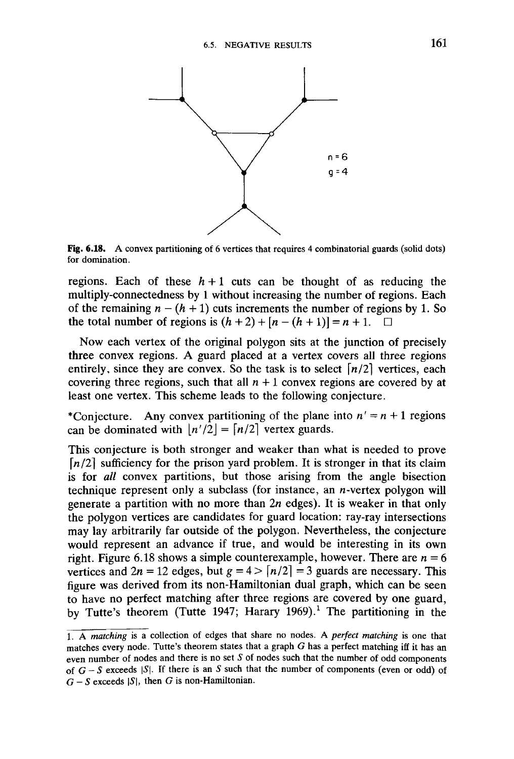

Fig. 6.18. A convex partitioning of 6 vertices that requires 4 combinatorial guards (solid dots) for domination.

regions. Each of these  $h+1$  cuts can be thought of as reducing the multiply-connectedness by 1 without increasing the number of regions. Each of the remaining  $n - (h + 1)$  cuts increments the number of regions by 1. So the total number of regions is  $(h+2) + [n - (h+1)] = n + 1$ .

Now each vertex of the original polygon sits at the junction of precisely three convex regions. A guard placed at a vertex covers all three regions entirely, since they are convex. So the task is to select  $\lfloor n/2 \rfloor$  vertices, each covering three regions, such that all  $n + 1$  convex regions are covered by at least one vertex. This scheme leads to the following conjecture.

\* Conjecture. Any convex partitioning of the plane into  $n' = n + 1$  regions can be dominated with  $|n'/2| = \lfloor n/2 \rfloor$  vertex guards.

This conjecture is both stronger and weaker than what is needed to prove  $\lfloor n/2 \rfloor$  sufficiency for the prison yard problem. It is stronger in that its claim is for *all* convex partitions, but those arising from the angle bisection technique represent only a subclass (for instance, an *n*-vertex polygon will generate a partition with no more than  $2n$  edges). It is weaker in that only the polygon vertices are candidates for guard location: ray-ray intersections may lay arbitrarily far outside of the polygon. Nevertheless, the conjecture would represent an advance if true, and would be interesting in its own right. Figure 6.18 shows a simple counterexample, however. There are *n =* 6 vertices and  $2n = 12$  edges, but  $g = 4 > \lfloor n/2 \rfloor = 3$  guards are necessary. This figure was derived from its non-Hamiltonian dual graph, which can be seen to have no perfect matching after three regions are covered by one guard, by Tutte's theorem (Tutte 1947; Harary 1969).*<sup>1</sup>* The partitioning in the

<sup>1.</sup> A *matching* is a collection of edges that share no nodes. A *perfect matching* is one that matches every node. Tutte's theorem states that a graph *G* has a perfect matching iff it has an even number of nodes and there is no set *S* of nodes such that the number of odd components of  $G - S$  exceeds  $|S|$ . If there is an S such that the number of components (even or odd) of  $G - S$  exceeds  $|S|$ , then *G* is non-Hamiltonian.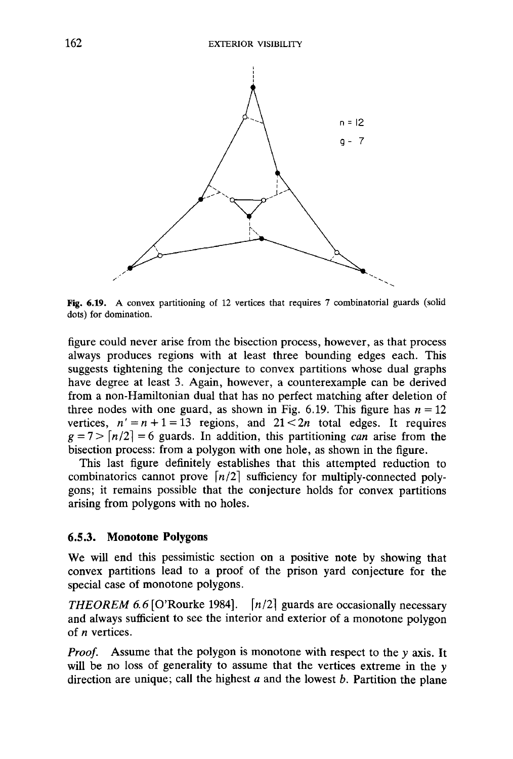

Fig. 6.19. A convex partitioning of 12 vertices that requires 7 combinatorial guards (solid dots) for domination.

figure could never arise from the bisection process, however, as that process always produces regions with at least three bounding edges each. This suggests tightening the conjecture to convex partitions whose dual graphs have degree at least 3. Again, however, a counterexample can be derived from a non-Hamiltonian dual that has no perfect matching after deletion of three nodes with one guard, as shown in Fig. 6.19. This figure has  $n = 12$ vertices,  $n' = n + 1 = 13$  regions, and  $21 < 2n$  total edges. It requires  $g = 7$   $\big[ n/2 \big] = 6$  guards. In addition, this partitioning *can* arise from the bisection process: from a polygon with one hole, as shown in the figure.

This last figure definitely establishes that this attempted reduction to combinatorics cannot prove  $\lfloor n/2 \rfloor$  sufficiency for multiply-connected polygons; it remains possible that the conjecture holds for convex partitions arising from polygons with no holes.

#### **6.5.3. Monotone Polygons**

We will end this pessimistic section on a positive note by showing that convex partitions lead to a proof of the prison yard conjecture for the special case of monotone polygons.

*THEOREM 6.6* [O'Rourke 1984].  $\lfloor n/2 \rfloor$  guards are occasionally necessary and always sufficient to see the interior and exterior of a monotone polygon of *n* vertices.

*Proof.* Assume that the polygon is monotone with respect to the *y* axis. It will be no loss of generality to assume that the vertices extreme in the y direction are unique; call the highest *a* and the lowest *b.* Partition the plane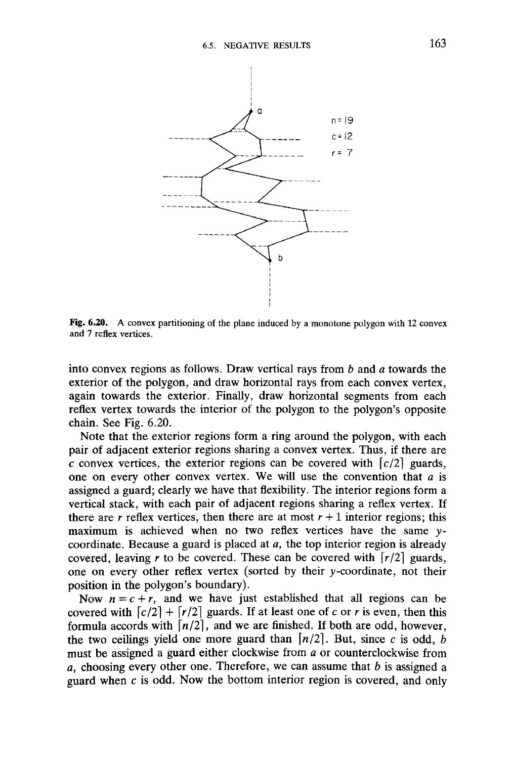

Fig. 6.20. A convex partitioning of the plane induced by a monotone polygon with 12 convex and 7 reflex vertices.

into convex regions as follows. Draw vertical rays from *b* and *a* towards the exterior of the polygon, and draw horizontal rays from each convex vertex, again towards the exterior. Finally, draw horizontal segments from each reflex vertex towards the interior of the polygon to the polygon's opposite chain. See Fig. 6.20.

Note that the exterior regions form a ring around the polygon, with each pair of adjacent exterior regions sharing a convex vertex. Thus, if there are  $\overline{c}$  convex vertices, the exterior regions can be covered with  $\left[ c/2 \right]$  guards, one on every other convex vertex. We will use the convention that *a* is assigned a guard; clearly we have that flexibility. The interior regions form a vertical stack, with each pair of adjacent regions sharing a reflex vertex. If there are *r* reflex vertices, then there are at most  $r + 1$  interior regions; this maximum is achieved when no two reflex vertices have the same vcoordinate. Because a guard is placed at *a,* the top interior region is already covered, leaving r to be covered. These can be covered with  $\lceil r/2 \rceil$  guards, one on every other reflex vertex (sorted by their v-coordinate, not their position in the polygon's boundary).

Now  $n = c + r$ , and we have just established that all regions can be covered with  $\lfloor c/2 \rfloor + \lfloor r/2 \rfloor$  guards. If at least one of *c* or *r* is even, then this formula accords with  $\lfloor n/2 \rfloor$ , and we are finished. If both are odd, however, the two ceilings yield one more guard than  $\lfloor n/2 \rfloor$ . But, since c is odd, *b* must be assigned a guard either clockwise from *a* or counterclockwise from *a,* choosing every other one. Therefore, we can assume that *b* is assigned a guard when *c* is odd. Now the bottom interior region is covered, and only